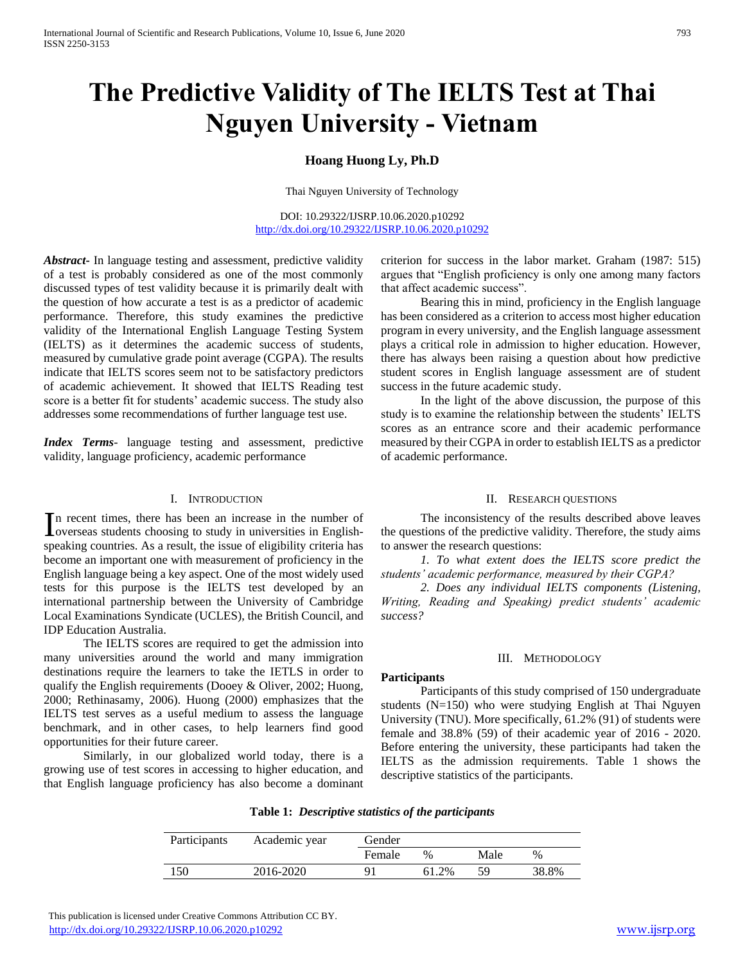# **The Predictive Validity of The IELTS Test at Thai Nguyen University - Vietnam**

# **Hoang Huong Ly, Ph.D**

Thai Nguyen University of Technology

DOI: 10.29322/IJSRP.10.06.2020.p10292 <http://dx.doi.org/10.29322/IJSRP.10.06.2020.p10292>

*Abstract***-** In language testing and assessment, predictive validity of a test is probably considered as one of the most commonly discussed types of test validity because it is primarily dealt with the question of how accurate a test is as a predictor of academic performance. Therefore, this study examines the predictive validity of the International English Language Testing System (IELTS) as it determines the academic success of students, measured by cumulative grade point average (CGPA). The results indicate that IELTS scores seem not to be satisfactory predictors of academic achievement. It showed that IELTS Reading test score is a better fit for students' academic success. The study also addresses some recommendations of further language test use.

*Index Terms*- language testing and assessment, predictive validity, language proficiency, academic performance

### I. INTRODUCTION

n recent times, there has been an increase in the number of In recent times, there has been an increase in the number of overseas students choosing to study in universities in Englishspeaking countries. As a result, the issue of eligibility criteria has become an important one with measurement of proficiency in the English language being a key aspect. One of the most widely used tests for this purpose is the IELTS test developed by an international partnership between the University of Cambridge Local Examinations Syndicate (UCLES), the British Council, and IDP Education Australia.

 The IELTS scores are required to get the admission into many universities around the world and many immigration destinations require the learners to take the IETLS in order to qualify the English requirements (Dooey & Oliver, 2002; Huong, 2000; Rethinasamy, 2006). Huong (2000) emphasizes that the IELTS test serves as a useful medium to assess the language benchmark, and in other cases, to help learners find good opportunities for their future career.

 Similarly, in our globalized world today, there is a growing use of test scores in accessing to higher education, and that English language proficiency has also become a dominant

criterion for success in the labor market. Graham (1987: 515) argues that "English proficiency is only one among many factors that affect academic success".

 Bearing this in mind, proficiency in the English language has been considered as a criterion to access most higher education program in every university, and the English language assessment plays a critical role in admission to higher education. However, there has always been raising a question about how predictive student scores in English language assessment are of student success in the future academic study.

 In the light of the above discussion, the purpose of this study is to examine the relationship between the students' IELTS scores as an entrance score and their academic performance measured by their CGPA in order to establish IELTS as a predictor of academic performance.

## II. RESEARCH QUESTIONS

 The inconsistency of the results described above leaves the questions of the predictive validity. Therefore, the study aims to answer the research questions:

 *1. To what extent does the IELTS score predict the students' academic performance, measured by their CGPA?*

 *2. Does any individual IELTS components (Listening, Writing, Reading and Speaking) predict students' academic success?*

#### III. METHODOLOGY

# **Participants**

 Participants of this study comprised of 150 undergraduate students (N=150) who were studying English at Thai Nguyen University (TNU). More specifically, 61.2% (91) of students were female and 38.8% (59) of their academic year of 2016 - 2020. Before entering the university, these participants had taken the IELTS as the admission requirements. Table 1 shows the descriptive statistics of the participants.

| Participants | Academic year | Gender |       |      |               |
|--------------|---------------|--------|-------|------|---------------|
|              |               | Female | $\%$  | Male | $\frac{0}{0}$ |
| 150          | 2016-2020     |        | 61.2% | 59   | 38.8%         |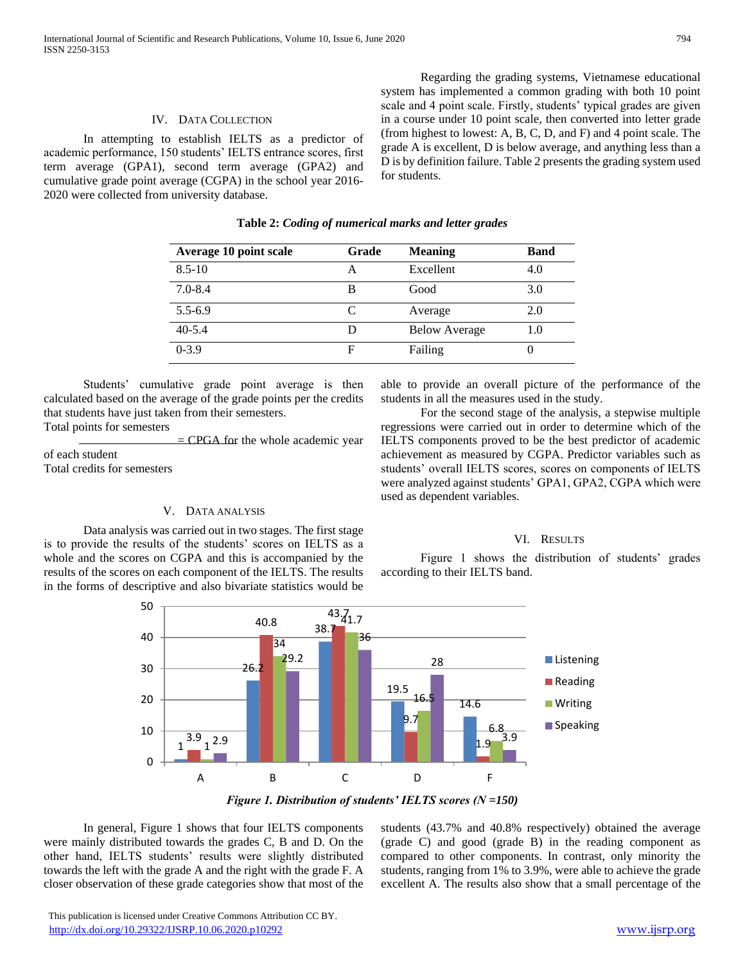# IV. DATA COLLECTION

 In attempting to establish IELTS as a predictor of academic performance, 150 students' IELTS entrance scores, first term average (GPA1), second term average (GPA2) and cumulative grade point average (CGPA) in the school year 2016- 2020 were collected from university database.

 Regarding the grading systems, Vietnamese educational system has implemented a common grading with both 10 point scale and 4 point scale. Firstly, students' typical grades are given in a course under 10 point scale, then converted into letter grade (from highest to lowest: A, B, C, D, and F) and 4 point scale. The grade A is excellent, D is below average, and anything less than a D is by definition failure. Table 2 presents the grading system used for students.

| <b>Average 10 point scale</b> | Grade | <b>Meaning</b>       | <b>Band</b> |
|-------------------------------|-------|----------------------|-------------|
| $8.5 - 10$                    |       | Excellent            | 4.0         |
| $7.0 - 8.4$                   | в     | Good                 | 3.0         |
| $5.5 - 6.9$                   | C     | Average              | 2.0         |
| $40 - 5.4$                    |       | <b>Below Average</b> | 1.0         |
| $0 - 3.9$                     | F     | Failing              |             |

## **Table 2:** *Coding of numerical marks and letter grades*

 Students' cumulative grade point average is then calculated based on the average of the grade points per the credits that students have just taken from their semesters. Total points for semesters

 $=$  CPGA for the whole academic year of each student Total credits for semesters

#### V. DATA ANALYSIS

 Data analysis was carried out in two stages. The first stage is to provide the results of the students' scores on IELTS as a whole and the scores on CGPA and this is accompanied by the results of the scores on each component of the IELTS. The results in the forms of descriptive and also bivariate statistics would be

able to provide an overall picture of the performance of the students in all the measures used in the study.

 For the second stage of the analysis, a stepwise multiple regressions were carried out in order to determine which of the IELTS components proved to be the best predictor of academic achievement as measured by CGPA. Predictor variables such as students' overall IELTS scores, scores on components of IELTS were analyzed against students' GPA1, GPA2, CGPA which were used as dependent variables.

#### VI. RESULTS

 Figure 1 shows the distribution of students' grades according to their IELTS band.



*Figure 1. Distribution of students' IELTS scores (N =150)*

 In general, Figure 1 shows that four IELTS components were mainly distributed towards the grades C, B and D. On the other hand, IELTS students' results were slightly distributed towards the left with the grade A and the right with the grade F. A closer observation of these grade categories show that most of the students (43.7% and 40.8% respectively) obtained the average (grade C) and good (grade B) in the reading component as compared to other components. In contrast, only minority the students, ranging from 1% to 3.9%, were able to achieve the grade excellent A. The results also show that a small percentage of the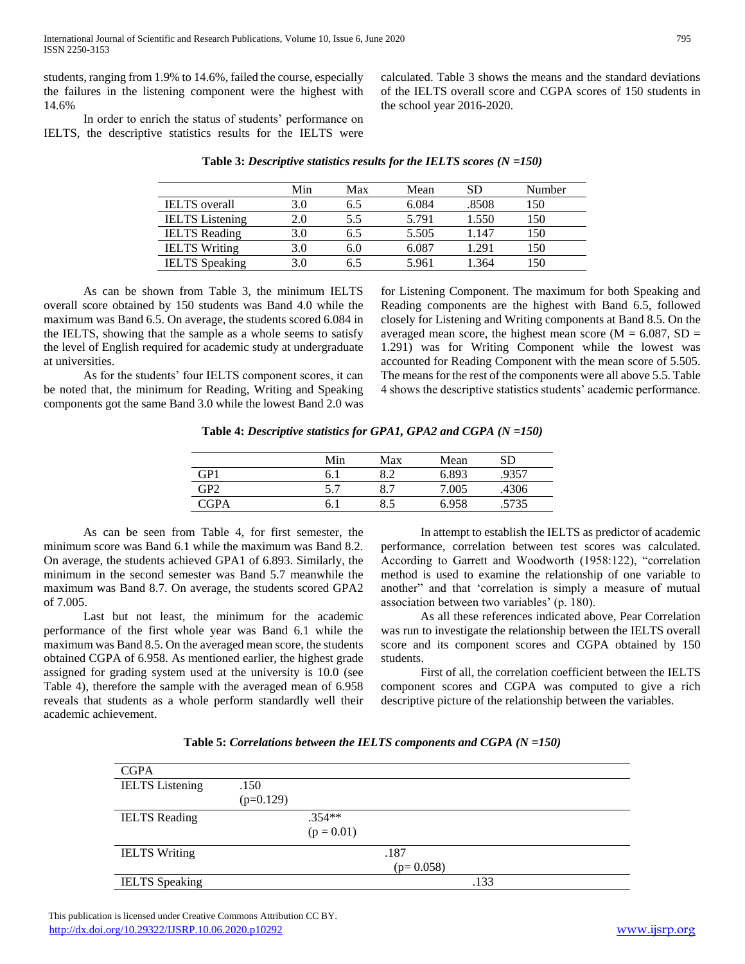students, ranging from 1.9% to 14.6%, failed the course, especially the failures in the listening component were the highest with 14.6%

 In order to enrich the status of students' performance on IELTS, the descriptive statistics results for the IELTS were

|                        | Min | Max | Mean  | SD    | Number |
|------------------------|-----|-----|-------|-------|--------|
| <b>IELTS</b> overall   | 3.0 | 6.5 | 6.084 | .8508 | 150    |
| <b>IELTS</b> Listening | 2.0 | 5.5 | 5.791 | 1.550 | 150    |
| <b>IELTS</b> Reading   | 3.0 | 6.5 | 5.505 | 1.147 | 150    |
| <b>IELTS</b> Writing   | 3.0 | 6.0 | 6.087 | 1.291 | 150    |
| <b>IELTS</b> Speaking  | 3.0 | 6.5 | 5.961 | 1.364 | 150    |

**Table 3:** *Descriptive statistics results for the IELTS scores (N =150)*

the school year 2016-2020.

 As can be shown from Table 3, the minimum IELTS overall score obtained by 150 students was Band 4.0 while the maximum was Band 6.5. On average, the students scored 6.084 in the IELTS, showing that the sample as a whole seems to satisfy the level of English required for academic study at undergraduate at universities.

 As for the students' four IELTS component scores, it can be noted that, the minimum for Reading, Writing and Speaking components got the same Band 3.0 while the lowest Band 2.0 was for Listening Component. The maximum for both Speaking and Reading components are the highest with Band 6.5, followed closely for Listening and Writing components at Band 8.5. On the averaged mean score, the highest mean score ( $M = 6.087$ , SD = 1.291) was for Writing Component while the lowest was accounted for Reading Component with the mean score of 5.505. The means for the rest of the components were all above 5.5. Table 4 shows the descriptive statistics students' academic performance.

calculated. Table 3 shows the means and the standard deviations of the IELTS overall score and CGPA scores of 150 students in

**Table 4:** *Descriptive statistics for GPA1, GPA2 and CGPA (N =150)*

|                 | Min  | Max | Mean  | SD.   |
|-----------------|------|-----|-------|-------|
| GP1             | 6. 1 | 8 7 | 6.893 | .9357 |
| GP <sub>2</sub> | 57   | 8.7 | 7.005 | .4306 |
| CGPA            |      | 8.5 | 6958  | 5735  |

 As can be seen from Table 4, for first semester, the minimum score was Band 6.1 while the maximum was Band 8.2. On average, the students achieved GPA1 of 6.893. Similarly, the minimum in the second semester was Band 5.7 meanwhile the maximum was Band 8.7. On average, the students scored GPA2 of 7.005.

 Last but not least, the minimum for the academic performance of the first whole year was Band 6.1 while the maximum was Band 8.5. On the averaged mean score, the students obtained CGPA of 6.958. As mentioned earlier, the highest grade assigned for grading system used at the university is 10.0 (see Table 4), therefore the sample with the averaged mean of 6.958 reveals that students as a whole perform standardly well their academic achievement.

 In attempt to establish the IELTS as predictor of academic performance, correlation between test scores was calculated. According to Garrett and Woodworth (1958:122), "correlation method is used to examine the relationship of one variable to another" and that 'correlation is simply a measure of mutual association between two variables' (p. 180).

 As all these references indicated above, Pear Correlation was run to investigate the relationship between the IELTS overall score and its component scores and CGPA obtained by 150 students.

 First of all, the correlation coefficient between the IELTS component scores and CGPA was computed to give a rich descriptive picture of the relationship between the variables.

|  |  | Table 5: Correlations between the IELTS components and CGPA $(N = 150)$ |
|--|--|-------------------------------------------------------------------------|
|--|--|-------------------------------------------------------------------------|

| <b>CGPA</b>            |             |              |             |      |  |
|------------------------|-------------|--------------|-------------|------|--|
| <b>IELTS</b> Listening | .150        |              |             |      |  |
|                        | $(p=0.129)$ |              |             |      |  |
| <b>IELTS</b> Reading   |             | .354**       |             |      |  |
|                        |             | $(p = 0.01)$ |             |      |  |
| <b>IELTS</b> Writing   |             |              | .187        |      |  |
|                        |             |              | $(p=0.058)$ |      |  |
| <b>IELTS</b> Speaking  |             |              |             | .133 |  |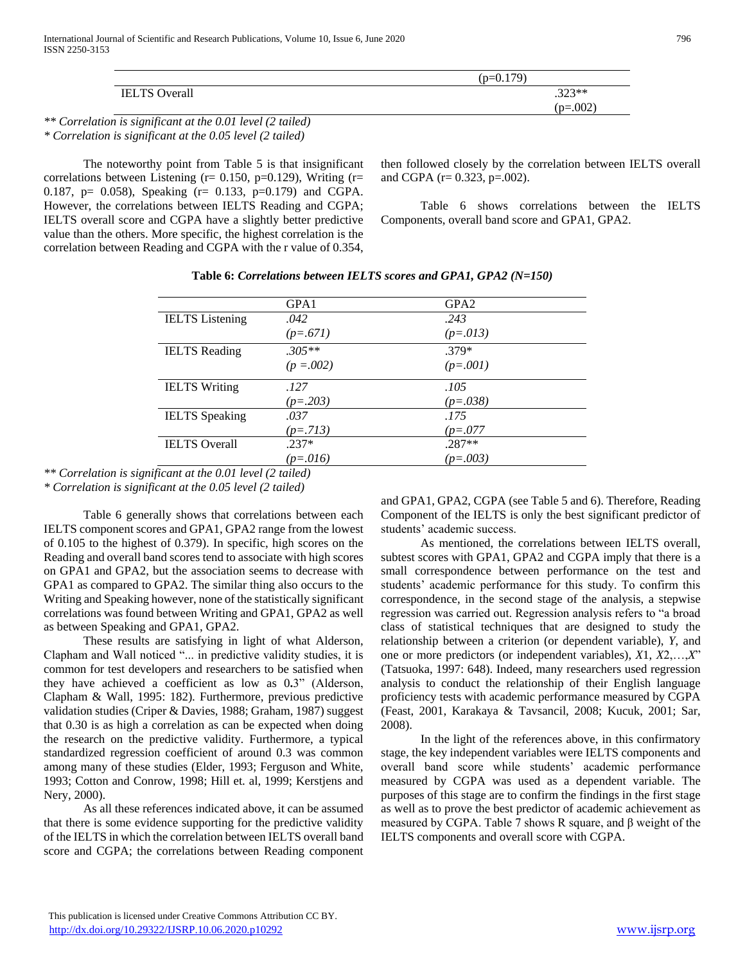|                      | (p=0.179)  |
|----------------------|------------|
| <b>IELTS</b> Overall | $.323**$   |
|                      | $(p=.002)$ |
|                      |            |

*\*\* Correlation is significant at the 0.01 level (2 tailed) \* Correlation is significant at the 0.05 level (2 tailed)*

 The noteworthy point from Table 5 is that insignificant correlations between Listening ( $r= 0.150$ ,  $p=0.129$ ), Writing ( $r=$ 0.187,  $p = 0.058$ , Speaking (r= 0.133, p=0.179) and CGPA. However, the correlations between IELTS Reading and CGPA; IELTS overall score and CGPA have a slightly better predictive value than the others. More specific, the highest correlation is the correlation between Reading and CGPA with the r value of 0.354, then followed closely by the correlation between IELTS overall and CGPA (r= 0.323, p=.002).

 Table 6 shows correlations between the IELTS Components, overall band score and GPA1, GPA2.

|                        | GPA1       | GPA <sub>2</sub> |  |
|------------------------|------------|------------------|--|
| <b>IELTS</b> Listening | .042       | .243             |  |
|                        | $(p=.671)$ | $(p=.013)$       |  |
| <b>IELTS</b> Reading   | $.305**$   | $.379*$          |  |
|                        | $(p=.002)$ | $(p=.001)$       |  |
|                        |            |                  |  |
| <b>IELTS</b> Writing   | .127       | .105             |  |
|                        | $(p=.203)$ | $(p=.038)$       |  |
| <b>IELTS</b> Speaking  | .037       | .175             |  |
|                        | $(p=.713)$ | $(p=.077)$       |  |
| <b>IELTS</b> Overall   | $.237*$    | $.287**$         |  |

**Table 6:** *Correlations between IELTS scores and GPA1, GPA2 (N=150)*

*\*\* Correlation is significant at the 0.01 level (2 tailed)* 

*\* Correlation is significant at the 0.05 level (2 tailed)*

 Table 6 generally shows that correlations between each IELTS component scores and GPA1, GPA2 range from the lowest of 0.105 to the highest of 0.379). In specific, high scores on the Reading and overall band scores tend to associate with high scores on GPA1 and GPA2, but the association seems to decrease with GPA1 as compared to GPA2. The similar thing also occurs to the Writing and Speaking however, none of the statistically significant correlations was found between Writing and GPA1, GPA2 as well as between Speaking and GPA1, GPA2.

 These results are satisfying in light of what Alderson, Clapham and Wall noticed "... in predictive validity studies, it is common for test developers and researchers to be satisfied when they have achieved a coefficient as low as 0**.**3" (Alderson, Clapham & Wall, 1995: 182). Furthermore, previous predictive validation studies (Criper & Davies, 1988; Graham, 1987) suggest that 0.30 is as high a correlation as can be expected when doing the research on the predictive validity. Furthermore, a typical standardized regression coefficient of around 0.3 was common among many of these studies (Elder, 1993; Ferguson and White, 1993; Cotton and Conrow, 1998; Hill et. al, 1999; Kerstjens and Nery, 2000).

 As all these references indicated above, it can be assumed that there is some evidence supporting for the predictive validity of the IELTS in which the correlation between IELTS overall band score and CGPA; the correlations between Reading component

and GPA1, GPA2, CGPA (see Table 5 and 6). Therefore, Reading Component of the IELTS is only the best significant predictor of students' academic success.

 As mentioned, the correlations between IELTS overall, subtest scores with GPA1, GPA2 and CGPA imply that there is a small correspondence between performance on the test and students' academic performance for this study. To confirm this correspondence, in the second stage of the analysis, a stepwise regression was carried out. Regression analysis refers to "a broad class of statistical techniques that are designed to study the relationship between a criterion (or dependent variable), *Y*, and one or more predictors (or independent variables), *X*1, *X*2,…,*X*" (Tatsuoka, 1997: 648). Indeed, many researchers used regression analysis to conduct the relationship of their English language proficiency tests with academic performance measured by CGPA (Feast, 2001, Karakaya & Tavsancil, 2008; Kucuk, 2001; Sar, 2008).

 In the light of the references above, in this confirmatory stage, the key independent variables were IELTS components and overall band score while students' academic performance measured by CGPA was used as a dependent variable. The purposes of this stage are to confirm the findings in the first stage as well as to prove the best predictor of academic achievement as measured by CGPA. Table 7 shows R square, and β weight of the IELTS components and overall score with CGPA.

This publication is licensed under Creative Commons Attribution CC BY. <http://dx.doi.org/10.29322/IJSRP.10.06.2020.p10292> [www.ijsrp.org](http://ijsrp.org/)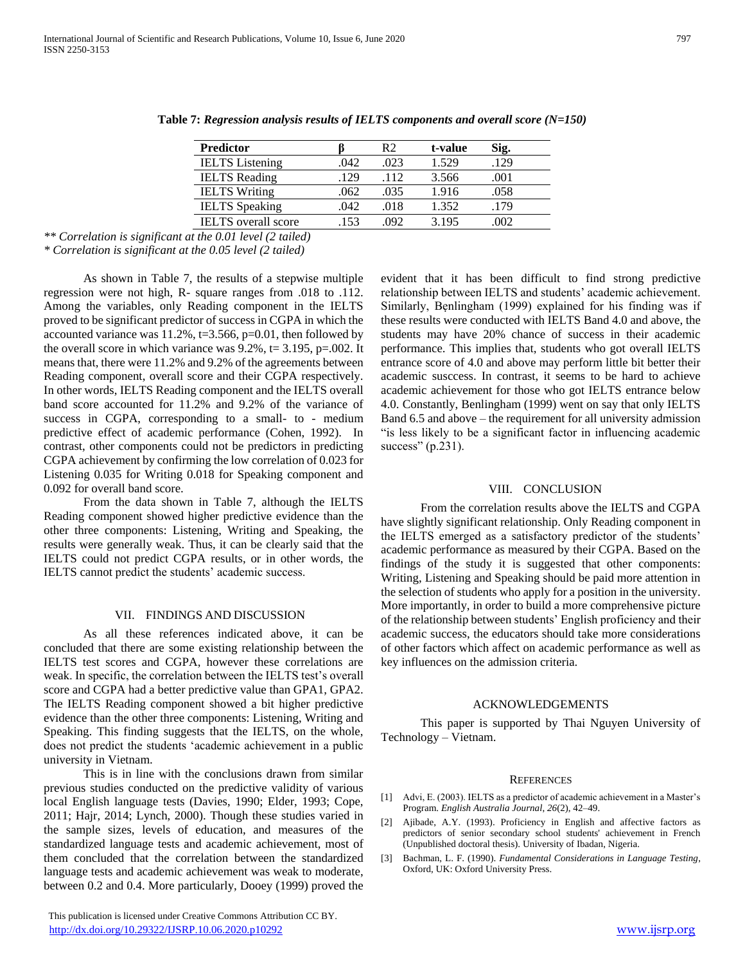| <b>Predictor</b>           |      | R2   | t-value | Sig. |  |
|----------------------------|------|------|---------|------|--|
| <b>IELTS</b> Listening     | .042 | .023 | 1.529   | .129 |  |
| <b>IELTS</b> Reading       | .129 | .112 | 3.566   | .001 |  |
| <b>IELTS</b> Writing       | .062 | .035 | 1.916   | .058 |  |
| <b>IELTS</b> Speaking      | .042 | .018 | 1.352   | .179 |  |
| <b>IELTS</b> overall score | 153  | 092  | 3.195   |      |  |

**Table 7:** *Regression analysis results of IELTS components and overall score (N=150)*

*\*\* Correlation is significant at the 0.01 level (2 tailed)* 

*\* Correlation is significant at the 0.05 level (2 tailed)*

 As shown in Table 7, the results of a stepwise multiple regression were not high, R- square ranges from .018 to .112. Among the variables, only Reading component in the IELTS proved to be significant predictor of success in CGPA in which the accounted variance was 11.2%, t=3.566, p=0.01, then followed by the overall score in which variance was  $9.2\%$ , t= 3.195, p=.002. It means that, there were 11.2% and 9.2% of the agreements between Reading component, overall score and their CGPA respectively. In other words, IELTS Reading component and the IELTS overall band score accounted for 11.2% and 9.2% of the variance of success in CGPA, corresponding to a small- to - medium predictive effect of academic performance (Cohen, 1992). In contrast, other components could not be predictors in predicting CGPA achievement by confirming the low correlation of 0.023 for Listening 0.035 for Writing 0.018 for Speaking component and 0.092 for overall band score.

 From the data shown in Table 7, although the IELTS Reading component showed higher predictive evidence than the other three components: Listening, Writing and Speaking, the results were generally weak. Thus, it can be clearly said that the IELTS could not predict CGPA results, or in other words, the IELTS cannot predict the students' academic success.

# VII. FINDINGS AND DISCUSSION

 As all these references indicated above, it can be concluded that there are some existing relationship between the IELTS test scores and CGPA, however these correlations are weak. In specific, the correlation between the IELTS test's overall score and CGPA had a better predictive value than GPA1, GPA2. The IELTS Reading component showed a bit higher predictive evidence than the other three components: Listening, Writing and Speaking. This finding suggests that the IELTS, on the whole, does not predict the students 'academic achievement in a public university in Vietnam.

 This is in line with the conclusions drawn from similar previous studies conducted on the predictive validity of various local English language tests (Davies, 1990; Elder, 1993; Cope, 2011; Hajr, 2014; Lynch, 2000). Though these studies varied in the sample sizes, levels of education, and measures of the standardized language tests and academic achievement, most of them concluded that the correlation between the standardized language tests and academic achievement was weak to moderate, between 0.2 and 0.4. More particularly, Dooey (1999) proved the

 This publication is licensed under Creative Commons Attribution CC BY. <http://dx.doi.org/10.29322/IJSRP.10.06.2020.p10292> [www.ijsrp.org](http://ijsrp.org/)

evident that it has been difficult to find strong predictive relationship between IELTS and students' academic achievement. Similarly, Bẹnlingham (1999) explained for his finding was if these results were conducted with IELTS Band 4.0 and above, the students may have 20% chance of success in their academic performance. This implies that, students who got overall IELTS entrance score of 4.0 and above may perform little bit better their academic susccess. In contrast, it seems to be hard to achieve academic achievement for those who got IELTS entrance below 4.0. Constantly, Benlingham (1999) went on say that only IELTS Band 6.5 and above – the requirement for all university admission "is less likely to be a significant factor in influencing academic success" (p.231).

# VIII. CONCLUSION

 From the correlation results above the IELTS and CGPA have slightly significant relationship. Only Reading component in the IELTS emerged as a satisfactory predictor of the students' academic performance as measured by their CGPA. Based on the findings of the study it is suggested that other components: Writing, Listening and Speaking should be paid more attention in the selection of students who apply for a position in the university. More importantly, in order to build a more comprehensive picture of the relationship between students' English proficiency and their academic success, the educators should take more considerations of other factors which affect on academic performance as well as key influences on the admission criteria.

#### ACKNOWLEDGEMENTS

 This paper is supported by Thai Nguyen University of Technology – Vietnam.

#### **REFERENCES**

- [1] Advi, E. (2003). IELTS as a predictor of academic achievement in a Master's Program. *English Australia Journal*, *26*(2), 42–49.
- [2] Ajibade, A.Y. (1993). Proficiency in English and affective factors as predictors of senior secondary school students' achievement in French (Unpublished doctoral thesis). University of Ibadan, Nigeria.
- [3] Bachman, L. F. (1990). *Fundamental Considerations in Language Testing*, Oxford, UK: Oxford University Press.